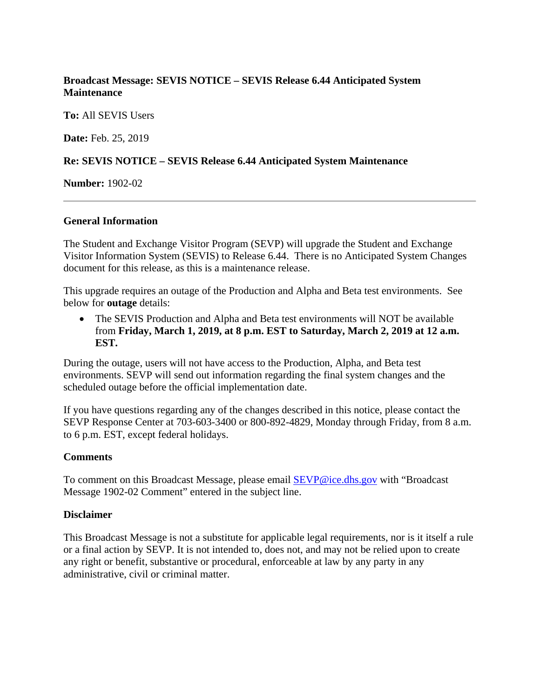# **Broadcast Message: SEVIS NOTICE – SEVIS Release 6.44 Anticipated System Maintenance**

**To:** All SEVIS Users

**Date:** Feb. 25, 2019

## **Re: SEVIS NOTICE – SEVIS Release 6.44 Anticipated System Maintenance**

**Number:** 1902-02

## **General Information**

The Student and Exchange Visitor Program (SEVP) will upgrade the Student and Exchange Visitor Information System (SEVIS) to Release 6.44. There is no Anticipated System Changes document for this release, as this is a maintenance release.

This upgrade requires an outage of the Production and Alpha and Beta test environments. See below for **outage** details:

• The SEVIS Production and Alpha and Beta test environments will NOT be available from **Friday, March 1, 2019, at 8 p.m. EST to Saturday, March 2, 2019 at 12 a.m. EST.**

During the outage, users will not have access to the Production, Alpha, and Beta test environments. SEVP will send out information regarding the final system changes and the scheduled outage before the official implementation date.

If you have questions regarding any of the changes described in this notice, please contact the SEVP Response Center at 703-603-3400 or 800-892-4829, Monday through Friday, from 8 a.m. to 6 p.m. EST, except federal holidays.

## **Comments**

To comment on this Broadcast Message, please email [SEVP@ice.dhs.gov](mailto:SEVP@ice.dhs.gov) with "Broadcast Message 1902-02 Comment" entered in the subject line.

## **Disclaimer**

This Broadcast Message is not a substitute for applicable legal requirements, nor is it itself a rule or a final action by SEVP. It is not intended to, does not, and may not be relied upon to create any right or benefit, substantive or procedural, enforceable at law by any party in any administrative, civil or criminal matter.